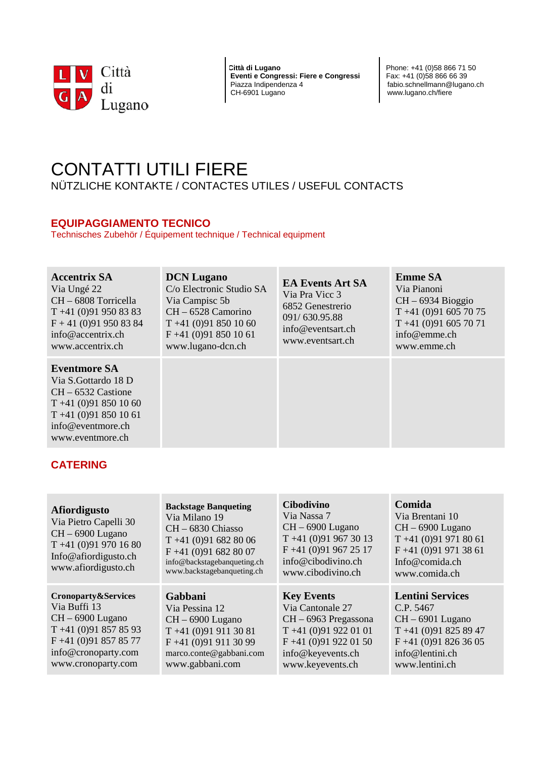

**Città di Lugano**<br>**Eventi e Congressi: Fiere e Congressi** Pax: +41 (0)58 866 66 39 **Eventi e Congressi: Fiere e Congressi**<br>Piazza Indipendenza 4 Piazza Indipendenza 4 fabio.schnellmann@lugano.ch<br>CH-6901 Lugano<br>CH-6901 Lugano

www.lugano.ch/fiere

# CONTATTI UTILI FIERE

NÜTZLICHE KONTAKTE / CONTACTES UTILES / USEFUL CONTACTS

## **EQUIPAGGIAMENTO TECNICO**

Technisches Zubehör / Équipement technique / Technical equipment

| <b>Accentrix SA</b><br>Via Ungé 22<br>CH – 6808 Torricella<br>$T + 41(0)919508383$<br>$F + 41$ (0)91 950 83 84<br>$info@$ accentrix.ch<br>www.accentrix.ch  | <b>DCN</b> Lugano<br>C/o Electronic Studio SA<br>Via Campisc 5b<br>$CH - 6528$ Camorino<br>$T +41(0)918501060$<br>$F +41$ (0)91 850 10 61<br>www.lugano-dcn.ch | <b>EA Events Art SA</b><br>Via Pra Vicc 3<br>6852 Genestrerio<br>091/630.95.88<br>info@eventsart.ch<br>www.eventsart.ch | <b>Emme SA</b><br>Via Pianoni<br>$CH - 6934 Bioggio$<br>$T + 41(0)916057075$<br>$T + 41(0)916057071$<br>info@emme.ch<br>www.emme.ch |
|-------------------------------------------------------------------------------------------------------------------------------------------------------------|----------------------------------------------------------------------------------------------------------------------------------------------------------------|-------------------------------------------------------------------------------------------------------------------------|-------------------------------------------------------------------------------------------------------------------------------------|
| <b>Eventmore SA</b><br>Via S. Gottardo 18 D<br>$CH - 6532$ Castione<br>$T +41(0)918501060$<br>$T + 41(0)918501061$<br>info@eventmore.ch<br>www.eventmore.ch |                                                                                                                                                                |                                                                                                                         |                                                                                                                                     |

# **CATERING**

| <b>Afiordigusto</b><br>Via Pietro Capelli 30<br>$CH - 6900$ Lugano<br>$T + 41(0)919701680$<br>Info@afiordigusto.ch<br>www.afiordigusto.ch            | <b>Backstage Banqueting</b><br>Via Milano 19<br>CH - 6830 Chiasso<br>$T + 41(0)916828006$<br>$F +41(0)916828007$<br>info@backstagebanqueting.ch<br>www.backstagebanqueting.ch | <b>Cibodivino</b><br>Via Nassa 7<br>$CH - 6900$ Lugano<br>$T + 41(0)919673013$<br>$F +41(0)919672517$<br>info@cibodivino.ch<br>www.cibodivino.ch      | Comida<br>Via Brentani 10<br>$CH - 6900$ Lugano<br>$T + 41(0)919718061$<br>$F +41(0)919713861$<br>Info@comida.ch<br>www.comida.ch              |
|------------------------------------------------------------------------------------------------------------------------------------------------------|-------------------------------------------------------------------------------------------------------------------------------------------------------------------------------|-------------------------------------------------------------------------------------------------------------------------------------------------------|------------------------------------------------------------------------------------------------------------------------------------------------|
| Cronoparty&Services<br>Via Buffi 13<br>$CH - 6900$ Lugano<br>$T +41(0)918578593$<br>$F +41(0)918578577$<br>info@cronoparty.com<br>www.cronoparty.com | Gabbani<br>Via Pessina 12<br>$CH - 6900$ Lugano<br>$T + 41(0)919113081$<br>$F +41(0)919113099$<br>marco.conte@gabbani.com<br>www.gabbani.com                                  | <b>Key Events</b><br>Via Cantonale 27<br>CH – 6963 Pregassona<br>$T + 41(0)919220101$<br>$F +41(0)919220150$<br>info@keyevents.ch<br>www.keyevents.ch | <b>Lentini Services</b><br>C.P. 5467<br>$CH - 6901$ Lugano<br>$T + 41(0)918258947$<br>$F +41(0)918263605$<br>info@lentini.ch<br>www.lentini.ch |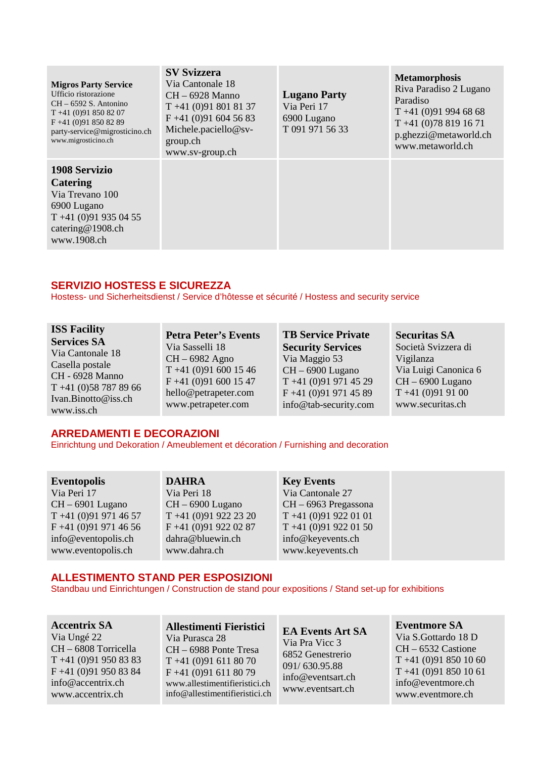| <b>Migros Party Service</b><br>Ufficio ristorazione<br>$CH - 6592 S$ . Antonino<br>$T + 41(0)918508207$<br>$F +41$ (0)91 850 82 89<br>party-service@migrosticino.ch<br>www.migrosticino.ch | <b>SV Svizzera</b><br>Via Cantonale 18<br>$CH - 6928$ Manno<br>$T + 41(0)918018137$<br>$F +41(0)916045683$<br>Michele.paciello@sv-<br>group.ch<br>www.sv-group.ch | <b>Lugano Party</b><br>Via Peri 17<br>6900 Lugano<br>T 091 971 56 33 | <b>Metamorphosis</b><br>Riva Paradiso 2 Lugano<br>Paradiso<br>$T + 41(0)919946868$<br>$T + 41(0)788191671$<br>p.ghezzi@metaworld.ch<br>www.metaworld.ch |
|--------------------------------------------------------------------------------------------------------------------------------------------------------------------------------------------|-------------------------------------------------------------------------------------------------------------------------------------------------------------------|----------------------------------------------------------------------|---------------------------------------------------------------------------------------------------------------------------------------------------------|
| <b>1908 Servizio</b><br><b>Catering</b><br>Via Trevano 100<br>6900 Lugano<br>$T + 41(0)919350455$<br>catering@1908.ch<br>www.1908.ch                                                       |                                                                                                                                                                   |                                                                      |                                                                                                                                                         |

## **SERVIZIO HOSTESS E SICUREZZA**

Hostess- und Sicherheitsdienst / Service d'hôtesse et sécurité / Hostess and security service

**ISS Facility Services SA** Via Cantonale 18 Casella postale CH - 6928 Manno T +41 (0)58 787 89 66 Ivan.Binotto@iss.ch www.iss.ch

**Petra Peter's Events** Via Sasselli 18 CH – 6982 Agno T +41 (0)91 600 15 46 F +41 (0)91 600 15 47 hello@petrapeter.com www.petrapeter.com

**TB Service Private Security Services** Via Maggio 53 CH – 6900 Lugano T +41 (0)91 971 45 29 F +41 (0)91 971 45 89 info@tab-security.com **Securitas SA** Società Svizzera di Vigilanza Via Luigi Canonica 6 CH – 6900 Lugano  $T +41 (0)91 91 00$ www.securitas.ch

## **ARREDAMENTI E DECORAZIONI**

Einrichtung und Dekoration / Ameublement et décoration / Furnishing and decoration

**Eventopolis** Via Peri 17 CH – 6901 Lugano T +41 (0)91 971 46 57 F +41 (0)91 971 46 56 info@eventopolis.ch www.eventopolis.ch

**DAHRA** Via Peri 18 CH – 6900 Lugano T +41 (0)91 922 23 20

F +41 (0)91 922 02 87 dahra@bluewin.ch www.dahra.ch

**Key Events** Via Cantonale 27 CH – 6963 Pregassona T +41 (0)91 922 01 01 T +41 (0)91 922 01 50 info@keyevents.ch www.keyevents.ch

## **ALLESTIMENTO STAND PER ESPOSIZIONI**

Standbau und Einrichtungen / Construction de stand pour expositions / Stand set-up for exhibitions

**Accentrix SA** Via Ungé 22 CH – 6808 Torricella T +41 (0)91 950 83 83 F +41 (0)91 950 83 84 info@accentrix.ch www.accentrix.ch

**Allestimenti Fieristici** Via Purasca 28 CH – 6988 Ponte Tresa T +41 (0)91 611 80 70 F +41 (0)91 611 80 79 www.allestimentifieristici.ch info@allestimentifieristici.ch

**EA Events Art SA** Via Pra Vicc 3 6852 Genestrerio 091/ 630.95.88 [info@eventsart.ch](mailto:info@eventsart.ch) [www.eventsart.ch](http://www.eventsart.ch/)

**Eventmore SA** Via S.Gottardo 18 D CH – 6532 Castione T +41 (0)91 850 10 60 T +41 (0)91 850 10 61 info@eventmore.ch www.eventmore.ch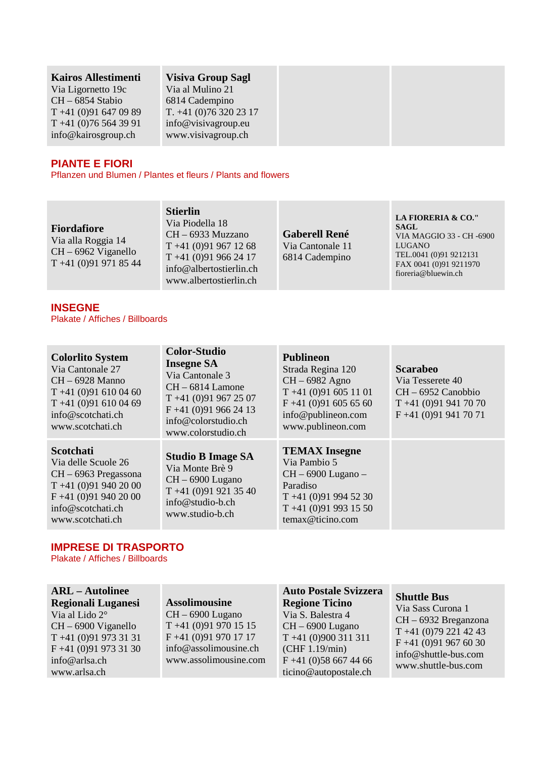#### **Kairos Allestimenti**

Via Ligornetto 19c CH – 6854 Stabio T +41 (0)91 647 09 89 T +41 (0)76 564 39 91 info@kairosgroup.ch

## **Visiva Group Sagl**

Via al Mulino 21 6814 Cadempino T. +41 (0)76 320 23 17 info@visivagroup.eu www.visivagroup.ch

## **PIANTE E FIORI**

Pflanzen und Blumen / Plantes et fleurs / Plants and flowers

## **Fiordafiore**

Via alla Roggia 14 CH – 6962 Viganello T +41 (0)91 971 85 44 **Stierlin** Via Piodella 18 CH – 6933 Muzzano T +41 (0)91 967 12 68 T +41 (0)91 966 24 17 info@albertostierlin.ch www.albertostierlin.ch

**Gaberell René** Via Cantonale 11 6814 Cadempino

#### **LA FIORERIA & CO." SAGL** VIA MAGGIO 33 - CH -6900 LUGANO TEL.0041 (0)91 9212131 FAX 0041 (0)91 9211970 [fioreria@bluewin.ch](mailto:fioreria@bluewin.ch)

#### **INSEGNE** Plakate / Affiches / Billboards

#### **Colorlito System**

Via Cantonale 27 CH – 6928 Manno T +41 (0)91 610 04 60 T +41 (0)91 610 04 69 info@scotchati.ch www.scotchati.ch

#### **Scotchati**

Via delle Scuole 26 CH – 6963 Pregassona T +41 (0)91 940 20 00 F +41 (0)91 940 20 00 info@scotchati.ch www.scotchati.ch

#### **Insegne SA** Via Cantonale 3 CH – 6814 Lamone T +41 (0)91 967 25 07 F +41 (0)91 966 24 13 info@colorstudio.ch www.colorstudio.ch

**Color-Studio**

**Studio B Image SA** Via Monte Brè 9 CH – 6900 Lugano T +41 (0)91 921 35 40 info@studio-b.ch www.studio-b.ch

#### **Publineon**

Strada Regina 120 CH – 6982 Agno T +41 (0)91 605 11 01 F +41 (0)91 605 65 60 info@publineon.com www.publineon.com

## **TEMAX Insegne**

Via Pambio 5 CH – 6900 Lugano – Paradiso T +41 (0)91 994 52 30 T +41 (0)91 993 15 50 temax@ticino.com

**Scarabeo** Via Tesserete 40 CH – 6952 Canobbio

T +41 (0)91 941 70 70 F +41 (0)91 941 70 71

## **IMPRESE DI TRASPORTO**

Plakate / Affiches / Billboards

#### **ARL – Autolinee Regionali Luganesi**

Via al Lido 2° CH – 6900 Viganello T +41 (0)91 973 31 31 F +41 (0)91 973 31 30 info@arlsa.ch www.arlsa.ch

## **Assolimousine**

CH – 6900 Lugano T +41 (0)91 970 15 15 F +41 (0)91 970 17 17 info@assolimousine.ch www.assolimousine.com

# **Auto Postale Svizzera**

**Regione Ticino** Via S. Balestra 4 CH – 6900 Lugano T +41 (0)900 311 311 (CHF 1.19/min) F +41 (0)58 667 44 66 ticino@autopostale.ch

#### **Shuttle Bus**

Via Sass Curona 1 CH – 6932 Breganzona T +41 (0)79 221 42 43 F +41 (0)91 967 60 30 info@shuttle-bus.com www.shuttle-bus.com